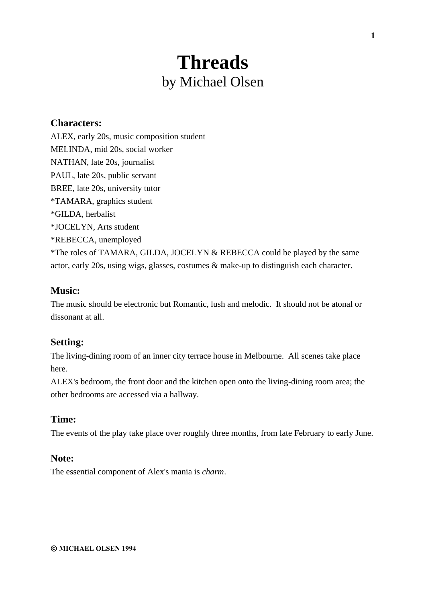# **Threads** by Michael Olsen

# **Characters:**

ALEX, early 20s, music composition student MELINDA, mid 20s, social worker NATHAN, late 20s, journalist PAUL, late 20s, public servant BREE, late 20s, university tutor \*TAMARA, graphics student \*GILDA, herbalist \*JOCELYN, Arts student \*REBECCA, unemployed \*The roles of TAMARA, GILDA, JOCELYN & REBECCA could be played by the same actor, early 20s, using wigs, glasses, costumes & make-up to distinguish each character.

# **Music:**

The music should be electronic but Romantic, lush and melodic. It should not be atonal or dissonant at all.

# **Setting:**

The living-dining room of an inner city terrace house in Melbourne. All scenes take place here.

ALEX's bedroom, the front door and the kitchen open onto the living-dining room area; the other bedrooms are accessed via a hallway.

# **Time:**

The events of the play take place over roughly three months, from late February to early June.

# **Note:**

The essential component of Alex's mania is *charm*.

**© MICHAEL OLSEN 1994**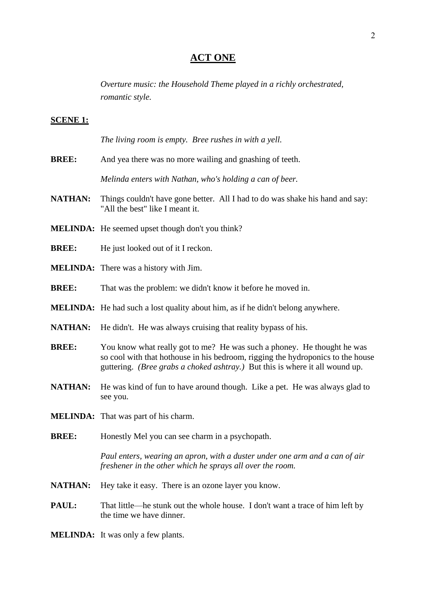# **ACT ONE**

*Overture music: the Household Theme played in a richly orchestrated, romantic style.*

#### **SCENE 1:**

*The living room is empty. Bree rushes in with a yell.*

**BREE:** And yea there was no more wailing and gnashing of teeth.

*Melinda enters with Nathan, who's holding a can of beer.*

- **NATHAN:** Things couldn't have gone better. All I had to do was shake his hand and say: "All the best" like I meant it.
- **MELINDA:** He seemed upset though don't you think?
- **BREE:** He just looked out of it I reckon.
- **MELINDA:** There was a history with Jim.
- **BREE:** That was the problem: we didn't know it before he moved in.
- **MELINDA:** He had such a lost quality about him, as if he didn't belong anywhere.
- **NATHAN:** He didn't. He was always cruising that reality bypass of his.
- **BREE:** You know what really got to me? He was such a phoney. He thought he was so cool with that hothouse in his bedroom, rigging the hydroponics to the house guttering. *(Bree grabs a choked ashtray.)* But this is where it all wound up.
- **NATHAN:** He was kind of fun to have around though. Like a pet. He was always glad to see you.
- **MELINDA:** That was part of his charm.
- **BREE:** Honestly Mel you can see charm in a psychopath.

*Paul enters, wearing an apron, with a duster under one arm and a can of air freshener in the other which he sprays all over the room.*

- **NATHAN:** Hey take it easy. There is an ozone layer you know.
- **PAUL:** That little—he stunk out the whole house. I don't want a trace of him left by the time we have dinner.
- **MELINDA:** It was only a few plants.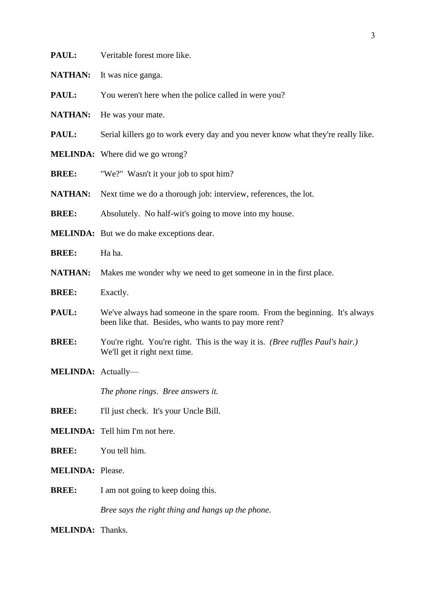|  | PAUL: | Veritable forest more like. |
|--|-------|-----------------------------|
|--|-------|-----------------------------|

- **NATHAN:** It was nice ganga.
- **PAUL:** You weren't here when the police called in were you?
- **NATHAN:** He was your mate.
- **PAUL:** Serial killers go to work every day and you never know what they're really like.
- **MELINDA:** Where did we go wrong?
- **BREE:** "We?" Wasn't it your job to spot him?
- **NATHAN:** Next time we do a thorough job: interview, references, the lot.
- **BREE:** Absolutely. No half-wit's going to move into my house.
- **MELINDA:** But we do make exceptions dear.
- **BREE:** Ha ha.
- **NATHAN:** Makes me wonder why we need to get someone in in the first place.
- **BREE:** Exactly.
- **PAUL:** We've always had someone in the spare room. From the beginning. It's always been like that. Besides, who wants to pay more rent?
- **BREE:** You're right. You're right. This is the way it is. *(Bree ruffles Paul's hair.)* We'll get it right next time.
- **MELINDA:** Actually—

*The phone rings. Bree answers it.*

- **BREE:** I'll just check. It's your Uncle Bill.
- **MELINDA:** Tell him I'm not here.
- **BREE:** You tell him.
- **MELINDA:** Please.
- **BREE:** I am not going to keep doing this.

*Bree says the right thing and hangs up the phone.*

**MELINDA:** Thanks.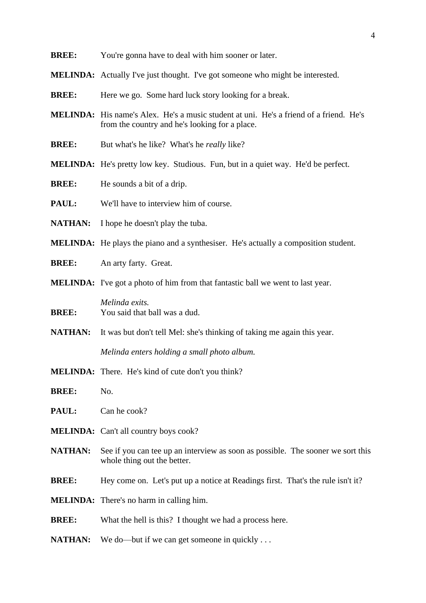- **BREE:** You're gonna have to deal with him sooner or later.
- **MELINDA:** Actually I've just thought. I've got someone who might be interested.
- **BREE:** Here we go. Some hard luck story looking for a break.
- **MELINDA:** His name's Alex. He's a music student at uni. He's a friend of a friend. He's from the country and he's looking for a place.
- **BREE:** But what's he like? What's he *really* like?
- **MELINDA:** He's pretty low key. Studious. Fun, but in a quiet way. He'd be perfect.
- **BREE:** He sounds a bit of a drip.
- **PAUL:** We'll have to interview him of course.
- **NATHAN:** I hope he doesn't play the tuba.
- **MELINDA:** He plays the piano and a synthesiser. He's actually a composition student.
- **BREE:** An arty farty. Great.
- **MELINDA:** I've got a photo of him from that fantastic ball we went to last year.
- *Melinda exits.* **BREE:** You said that ball was a dud.
- **NATHAN:** It was but don't tell Mel: she's thinking of taking me again this year.

*Melinda enters holding a small photo album.*

- **MELINDA:** There. He's kind of cute don't you think?
- **BREE:** No.
- **PAUL:** Can he cook?
- **MELINDA:** Can't all country boys cook?
- **NATHAN:** See if you can tee up an interview as soon as possible. The sooner we sort this whole thing out the better.
- **BREE:** Hey come on. Let's put up a notice at Readings first. That's the rule isn't it?
- **MELINDA:** There's no harm in calling him.
- **BREE:** What the hell is this? I thought we had a process here.
- **NATHAN:** We do—but if we can get someone in quickly ...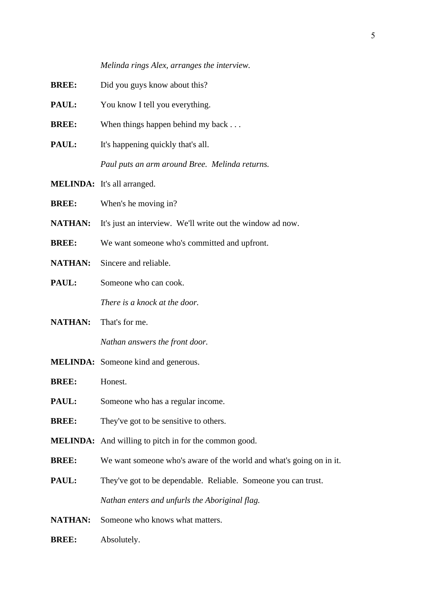*Melinda rings Alex, arranges the interview.*

- **BREE:** Did you guys know about this?
- **PAUL:** You know I tell you everything.
- **BREE:** When things happen behind my back . . .
- **PAUL:** It's happening quickly that's all.

*Paul puts an arm around Bree. Melinda returns.*

- **MELINDA:** It's all arranged.
- **BREE:** When's he moving in?
- **NATHAN:** It's just an interview. We'll write out the window ad now.
- **BREE:** We want someone who's committed and upfront.
- **NATHAN:** Sincere and reliable.
- **PAUL:** Someone who can cook. *There is a knock at the door.*

**NATHAN:** That's for me.

*Nathan answers the front door.*

**MELINDA:** Someone kind and generous.

**BREE:** Honest.

- **PAUL:** Someone who has a regular income.
- **BREE:** They've got to be sensitive to others.
- **MELINDA:** And willing to pitch in for the common good.
- **BREE:** We want someone who's aware of the world and what's going on in it.
- **PAUL:** They've got to be dependable. Reliable. Someone you can trust. *Nathan enters and unfurls the Aboriginal flag.*
- **NATHAN:** Someone who knows what matters.
- **BREE:** Absolutely.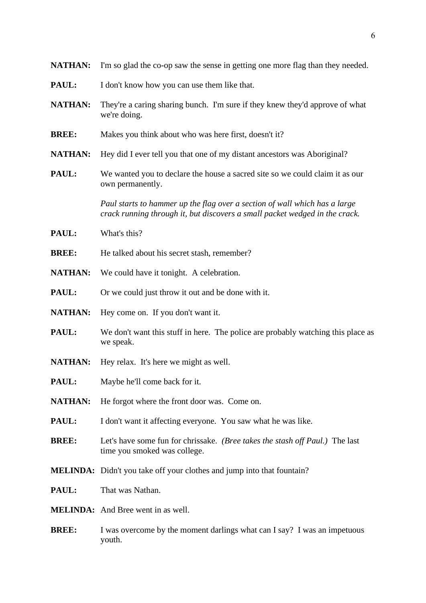| <b>NATHAN:</b> | I'm so glad the co-op saw the sense in getting one more flag than they needed.                                                                            |
|----------------|-----------------------------------------------------------------------------------------------------------------------------------------------------------|
| PAUL:          | I don't know how you can use them like that.                                                                                                              |
| <b>NATHAN:</b> | They're a caring sharing bunch. I'm sure if they knew they'd approve of what<br>we're doing.                                                              |
| <b>BREE:</b>   | Makes you think about who was here first, doesn't it?                                                                                                     |
| <b>NATHAN:</b> | Hey did I ever tell you that one of my distant ancestors was Aboriginal?                                                                                  |
| PAUL:          | We wanted you to declare the house a sacred site so we could claim it as our<br>own permanently.                                                          |
|                | Paul starts to hammer up the flag over a section of wall which has a large<br>crack running through it, but discovers a small packet wedged in the crack. |
| PAUL:          | What's this?                                                                                                                                              |
| <b>BREE:</b>   | He talked about his secret stash, remember?                                                                                                               |
| <b>NATHAN:</b> | We could have it tonight. A celebration.                                                                                                                  |
| PAUL:          | Or we could just throw it out and be done with it.                                                                                                        |
| <b>NATHAN:</b> | Hey come on. If you don't want it.                                                                                                                        |
| PAUL:          | We don't want this stuff in here. The police are probably watching this place as<br>we speak.                                                             |
| <b>NATHAN:</b> | Hey relax. It's here we might as well.                                                                                                                    |
| PAUL:          | Maybe he'll come back for it.                                                                                                                             |
| <b>NATHAN:</b> | He forgot where the front door was. Come on.                                                                                                              |
| PAUL:          | I don't want it affecting everyone. You saw what he was like.                                                                                             |
| <b>BREE:</b>   | Let's have some fun for chrissake. (Bree takes the stash off Paul.) The last<br>time you smoked was college.                                              |
|                | <b>MELINDA:</b> Didn't you take off your clothes and jump into that fountain?                                                                             |
| PAUL:          | That was Nathan.                                                                                                                                          |
|                | <b>MELINDA:</b> And Bree went in as well.                                                                                                                 |
| <b>BREE:</b>   | I was overcome by the moment darlings what can I say? I was an impetuous<br>youth.                                                                        |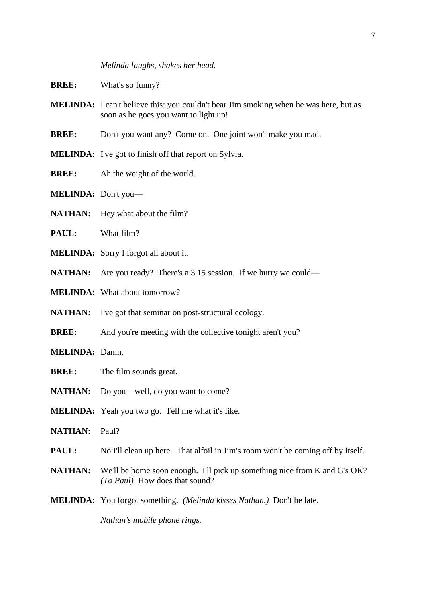#### *Melinda laughs, shakes her head.*

- **BREE:** What's so funny?
- **MELINDA:** I can't believe this: you couldn't bear Jim smoking when he was here, but as soon as he goes you want to light up!
- **BREE:** Don't you want any? Come on. One joint won't make you mad.
- **MELINDA:** I've got to finish off that report on Sylvia.
- **BREE:** Ah the weight of the world.
- **MELINDA:** Don't you—
- **NATHAN:** Hey what about the film?
- **PAUL:** What film?
- **MELINDA:** Sorry I forgot all about it.
- **NATHAN:** Are you ready? There's a 3.15 session. If we hurry we could—
- **MELINDA:** What about tomorrow?
- **NATHAN:** I've got that seminar on post-structural ecology.
- **BREE:** And you're meeting with the collective tonight aren't you?
- **MELINDA:** Damn.
- **BREE:** The film sounds great.
- NATHAN: Do you—well, do you want to come?
- **MELINDA:** Yeah you two go. Tell me what it's like.
- **NATHAN:** Paul?
- **PAUL:** No I'll clean up here. That alfoil in Jim's room won't be coming off by itself.
- **NATHAN:** We'll be home soon enough. I'll pick up something nice from K and G's OK? *(To Paul)* How does that sound?
- **MELINDA:** You forgot something. *(Melinda kisses Nathan.)* Don't be late.

*Nathan's mobile phone rings.*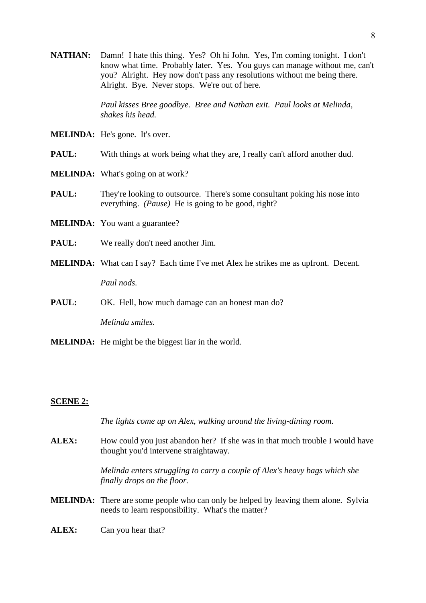**NATHAN:** Damn! I hate this thing. Yes? Oh hi John. Yes, I'm coming tonight. I don't know what time. Probably later. Yes. You guys can manage without me, can't you? Alright. Hey now don't pass any resolutions without me being there. Alright. Bye. Never stops. We're out of here.

> *Paul kisses Bree goodbye. Bree and Nathan exit. Paul looks at Melinda, shakes his head.*

- **MELINDA:** He's gone. It's over.
- **PAUL:** With things at work being what they are. I really can't afford another dud.
- **MELINDA:** What's going on at work?
- **PAUL:** They're looking to outsource. There's some consultant poking his nose into everything. *(Pause)* He is going to be good, right?
- **MELINDA:** You want a guarantee?
- **PAUL:** We really don't need another Jim.
- **MELINDA:** What can I say? Each time I've met Alex he strikes me as upfront. Decent.

*Paul nods.*

**PAUL:** OK. Hell, how much damage can an honest man do?

*Melinda smiles.*

**MELINDA:** He might be the biggest liar in the world.

## **SCENE 2:**

*The lights come up on Alex, walking around the living-dining room.*

ALEX: How could you just abandon her? If she was in that much trouble I would have thought you'd intervene straightaway.

> *Melinda enters struggling to carry a couple of Alex's heavy bags which she finally drops on the floor.*

- **MELINDA:** There are some people who can only be helped by leaving them alone. Sylvia needs to learn responsibility. What's the matter?
- **ALEX:** Can you hear that?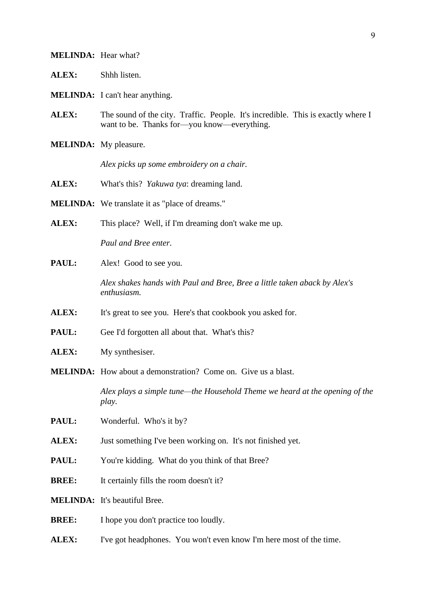## **MELINDA:** Hear what?

- **ALEX:** Shhh listen.
- **MELINDA:** I can't hear anything.
- ALEX: The sound of the city. Traffic. People. It's incredible. This is exactly where I want to be. Thanks for—you know—everything.
- **MELINDA:** My pleasure.

*Alex picks up some embroidery on a chair.*

- **ALEX:** What's this? *Yakuwa tya*: dreaming land.
- **MELINDA:** We translate it as "place of dreams."

**ALEX:** This place? Well, if I'm dreaming don't wake me up.

*Paul and Bree enter.*

PAUL: Alex! Good to see you.

*Alex shakes hands with Paul and Bree, Bree a little taken aback by Alex's enthusiasm.*

- ALEX: It's great to see you. Here's that cookbook you asked for.
- **PAUL:** Gee I'd forgotten all about that. What's this?
- **ALEX:** My synthesiser.
- **MELINDA:** How about a demonstration? Come on. Give us a blast.

*Alex plays a simple tune—the Household Theme we heard at the opening of the play.*

- **PAUL:** Wonderful. Who's it by?
- **ALEX:** Just something I've been working on. It's not finished yet.
- **PAUL:** You're kidding. What do you think of that Bree?
- **BREE:** It certainly fills the room doesn't it?
- **MELINDA:** It's beautiful Bree.
- **BREE:** I hope you don't practice too loudly.
- ALEX: I've got headphones. You won't even know I'm here most of the time.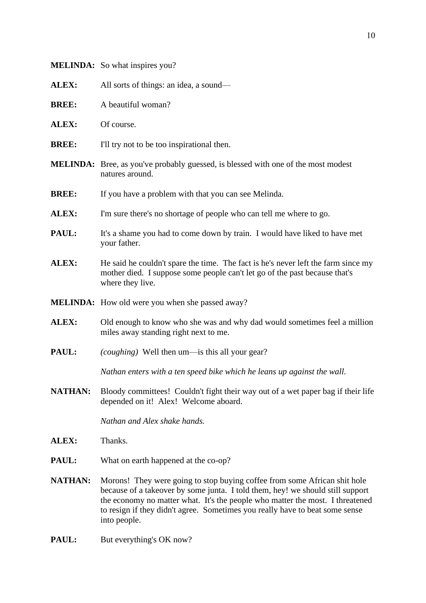|                | <b>MELINDA:</b> So what inspires you?                                                                                                                                                                                                                                                                                                        |
|----------------|----------------------------------------------------------------------------------------------------------------------------------------------------------------------------------------------------------------------------------------------------------------------------------------------------------------------------------------------|
| ALEX:          | All sorts of things: an idea, a sound—                                                                                                                                                                                                                                                                                                       |
| <b>BREE:</b>   | A beautiful woman?                                                                                                                                                                                                                                                                                                                           |
| <b>ALEX:</b>   | Of course.                                                                                                                                                                                                                                                                                                                                   |
| <b>BREE:</b>   | I'll try not to be too inspirational then.                                                                                                                                                                                                                                                                                                   |
|                | <b>MELINDA:</b> Bree, as you've probably guessed, is blessed with one of the most modest<br>natures around.                                                                                                                                                                                                                                  |
| <b>BREE:</b>   | If you have a problem with that you can see Melinda.                                                                                                                                                                                                                                                                                         |
| ALEX:          | I'm sure there's no shortage of people who can tell me where to go.                                                                                                                                                                                                                                                                          |
| PAUL:          | It's a shame you had to come down by train. I would have liked to have met<br>your father.                                                                                                                                                                                                                                                   |
| ALEX:          | He said he couldn't spare the time. The fact is he's never left the farm since my<br>mother died. I suppose some people can't let go of the past because that's<br>where they live.                                                                                                                                                          |
|                | <b>MELINDA:</b> How old were you when she passed away?                                                                                                                                                                                                                                                                                       |
| ALEX:          | Old enough to know who she was and why dad would sometimes feel a million<br>miles away standing right next to me.                                                                                                                                                                                                                           |
| PAUL:          | (coughing) Well then um—is this all your gear?                                                                                                                                                                                                                                                                                               |
|                | Nathan enters with a ten speed bike which he leans up against the wall.                                                                                                                                                                                                                                                                      |
| <b>NATHAN:</b> | Bloody committees! Couldn't fight their way out of a wet paper bag if their life<br>depended on it! Alex! Welcome aboard.                                                                                                                                                                                                                    |
|                | Nathan and Alex shake hands.                                                                                                                                                                                                                                                                                                                 |
| ALEX:          | Thanks.                                                                                                                                                                                                                                                                                                                                      |
| PAUL:          | What on earth happened at the co-op?                                                                                                                                                                                                                                                                                                         |
| <b>NATHAN:</b> | Morons! They were going to stop buying coffee from some African shit hole<br>because of a takeover by some junta. I told them, hey! we should still support<br>the economy no matter what. It's the people who matter the most. I threatened<br>to resign if they didn't agree. Sometimes you really have to beat some sense<br>into people. |
| PAUL:          | But everything's OK now?                                                                                                                                                                                                                                                                                                                     |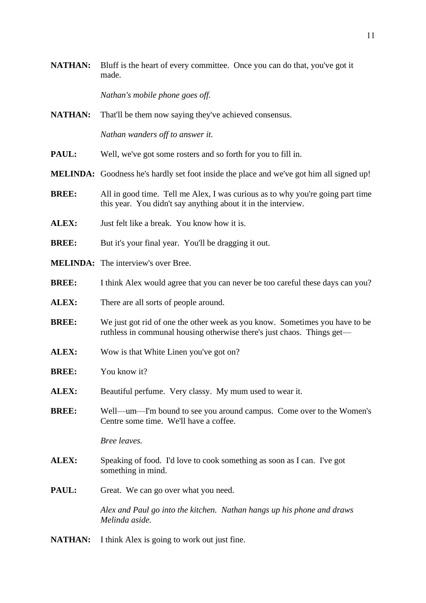**NATHAN:** Bluff is the heart of every committee. Once you can do that, you've got it made.

*Nathan's mobile phone goes off.*

**NATHAN:** That'll be them now saying they've achieved consensus.

*Nathan wanders off to answer it.*

- **PAUL:** Well, we've got some rosters and so forth for you to fill in.
- **MELINDA:** Goodness he's hardly set foot inside the place and we've got him all signed up!
- **BREE:** All in good time. Tell me Alex, I was curious as to why you're going part time this year. You didn't say anything about it in the interview.
- **ALEX:** Just felt like a break. You know how it is.
- **BREE:** But it's your final year. You'll be dragging it out.
- **MELINDA:** The interview's over Bree.
- **BREE:** I think Alex would agree that you can never be too careful these days can you?
- **ALEX:** There are all sorts of people around.
- **BREE:** We just got rid of one the other week as you know. Sometimes you have to be ruthless in communal housing otherwise there's just chaos. Things get—
- **ALEX:** Wow is that White Linen you've got on?
- **BREE:** You know it?
- **ALEX:** Beautiful perfume. Very classy. My mum used to wear it.
- **BREE:** Well—um—I'm bound to see you around campus. Come over to the Women's Centre some time. We'll have a coffee.

*Bree leaves.*

- **ALEX:** Speaking of food. I'd love to cook something as soon as I can. I've got something in mind.
- **PAUL:** Great. We can go over what you need.

*Alex and Paul go into the kitchen. Nathan hangs up his phone and draws Melinda aside.*

**NATHAN:** I think Alex is going to work out just fine.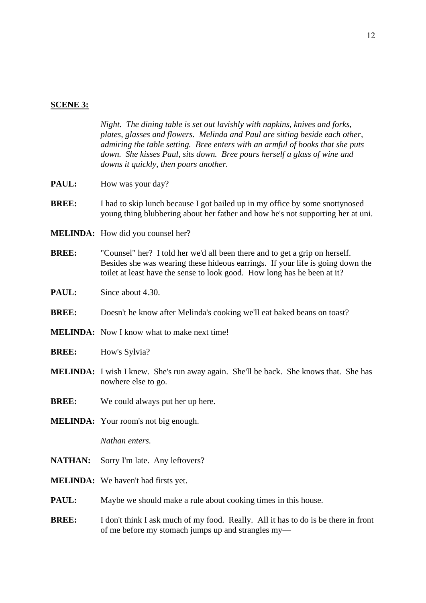## **SCENE 3:**

*Night. The dining table is set out lavishly with napkins, knives and forks, plates, glasses and flowers. Melinda and Paul are sitting beside each other, admiring the table setting. Bree enters with an armful of books that she puts down. She kisses Paul, sits down. Bree pours herself a glass of wine and downs it quickly, then pours another.*

- **PAUL:** How was your day?
- **BREE:** I had to skip lunch because I got bailed up in my office by some snottynosed young thing blubbering about her father and how he's not supporting her at uni.
- **MELINDA:** How did you counsel her?
- **BREE:** "Counsel" her? I told her we'd all been there and to get a grip on herself. Besides she was wearing these hideous earrings. If your life is going down the toilet at least have the sense to look good. How long has he been at it?
- **PAUL:** Since about 4.30.
- **BREE:** Doesn't he know after Melinda's cooking we'll eat baked beans on toast?
- **MELINDA:** Now I know what to make next time!
- **BREE:** How's Sylvia?
- **MELINDA:** I wish I knew. She's run away again. She'll be back. She knows that. She has nowhere else to go.
- **BREE:** We could always put her up here.
- **MELINDA:** Your room's not big enough.

*Nathan enters.*

- **NATHAN:** Sorry I'm late. Any leftovers?
- **MELINDA:** We haven't had firsts yet.
- **PAUL:** Maybe we should make a rule about cooking times in this house.
- **BREE:** I don't think I ask much of my food. Really. All it has to do is be there in front of me before my stomach jumps up and strangles my—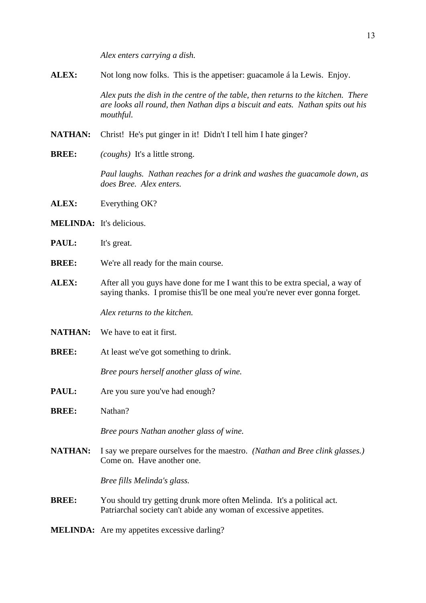*Alex enters carrying a dish.*

**ALEX:** Not long now folks. This is the appetiser: guacamole á la Lewis. Enjoy.

*Alex puts the dish in the centre of the table, then returns to the kitchen. There are looks all round, then Nathan dips a biscuit and eats. Nathan spits out his mouthful.*

**NATHAN:** Christ! He's put ginger in it! Didn't I tell him I hate ginger?

**BREE:** *(coughs)* It's a little strong.

*Paul laughs. Nathan reaches for a drink and washes the guacamole down, as does Bree. Alex enters.*

- **ALEX:** Everything OK?
- **MELINDA:** It's delicious.
- **PAUL:** It's great.
- **BREE:** We're all ready for the main course.
- **ALEX:** After all you guys have done for me I want this to be extra special, a way of saying thanks. I promise this'll be one meal you're never ever gonna forget.

*Alex returns to the kitchen.*

- **NATHAN:** We have to eat it first.
- **BREE:** At least we've got something to drink.

*Bree pours herself another glass of wine.*

- **PAUL:** Are you sure you've had enough?
- **BREE:** Nathan?

*Bree pours Nathan another glass of wine.*

**NATHAN:** I say we prepare ourselves for the maestro. *(Nathan and Bree clink glasses.)* Come on. Have another one.

*Bree fills Melinda's glass.*

- **BREE:** You should try getting drunk more often Melinda. It's a political act. Patriarchal society can't abide any woman of excessive appetites.
- **MELINDA:** Are my appetites excessive darling?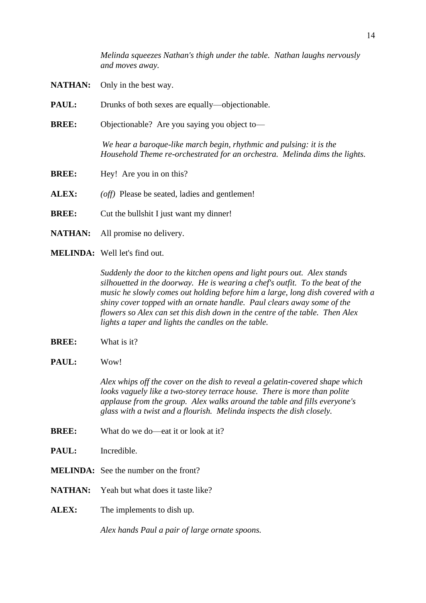*Melinda squeezes Nathan's thigh under the table. Nathan laughs nervously and moves away.*

- **NATHAN:** Only in the best way.
- **PAUL:** Drunks of both sexes are equally—objectionable.
- **BREE:** Objectionable? Are you saying you object to—

*We hear a baroque-like march begin, rhythmic and pulsing: it is the Household Theme re-orchestrated for an orchestra. Melinda dims the lights.*

- **BREE:** Hey! Are you in on this?
- **ALEX:** *(off)* Please be seated, ladies and gentlemen!
- **BREE:** Cut the bullshit I just want my dinner!
- **NATHAN:** All promise no delivery.
- **MELINDA:** Well let's find out.

*Suddenly the door to the kitchen opens and light pours out. Alex stands silhouetted in the doorway. He is wearing a chef's outfit. To the beat of the music he slowly comes out holding before him a large, long dish covered with a shiny cover topped with an ornate handle. Paul clears away some of the flowers so Alex can set this dish down in the centre of the table. Then Alex lights a taper and lights the candles on the table.*

- **BREE:** What is it?
- **PAUL:** Wow!

*Alex whips off the cover on the dish to reveal a gelatin-covered shape which looks vaguely like a two-storey terrace house. There is more than polite applause from the group. Alex walks around the table and fills everyone's glass with a twist and a flourish. Melinda inspects the dish closely.*

- **BREE:** What do we do—eat it or look at it?
- **PAUL:** Incredible.
- **MELINDA:** See the number on the front?
- **NATHAN:** Yeah but what does it taste like?
- **ALEX:** The implements to dish up.

*Alex hands Paul a pair of large ornate spoons.*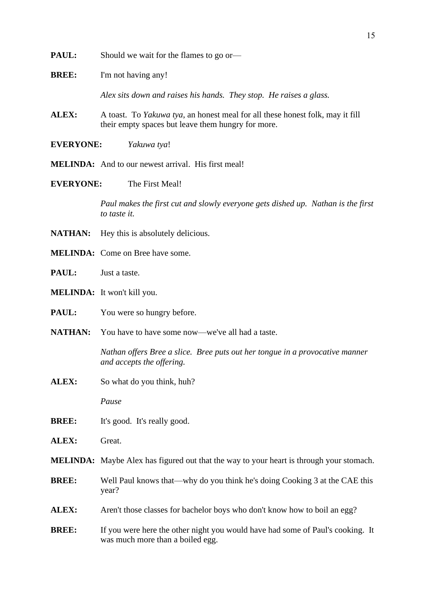- **PAUL:** Should we wait for the flames to go or—
- **BREE:** I'm not having any!

*Alex sits down and raises his hands. They stop. He raises a glass.*

- **ALEX:** A toast. To *Yakuwa tya*, an honest meal for all these honest folk, may it fill their empty spaces but leave them hungry for more.
- **EVERYONE:** *Yakuwa tya*!
- **MELINDA:** And to our newest arrival. His first meal!
- **EVERYONE:** The First Meal!

*Paul makes the first cut and slowly everyone gets dished up. Nathan is the first to taste it.*

- **NATHAN:** Hey this is absolutely delicious.
- **MELINDA:** Come on Bree have some.
- **PAUL:** Just a taste.
- **MELINDA:** It won't kill you.
- **PAUL:** You were so hungry before.
- **NATHAN:** You have to have some now—we've all had a taste.

*Nathan offers Bree a slice. Bree puts out her tongue in a provocative manner and accepts the offering.*

**ALEX:** So what do you think, huh?

*Pause*

- **BREE:** It's good. It's really good.
- **ALEX:** Great.
- **MELINDA:** Maybe Alex has figured out that the way to your heart is through your stomach.
- **BREE:** Well Paul knows that—why do you think he's doing Cooking 3 at the CAE this year?
- ALEX: Aren't those classes for bachelor boys who don't know how to boil an egg?
- **BREE:** If you were here the other night you would have had some of Paul's cooking. It was much more than a boiled egg.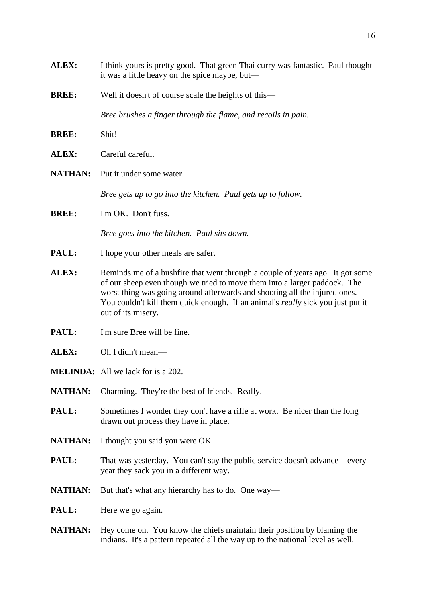**ALEX:** I think yours is pretty good. That green Thai curry was fantastic. Paul thought it was a little heavy on the spice maybe, but— **BREE:** Well it doesn't of course scale the heights of this— *Bree brushes a finger through the flame, and recoils in pain.* **BREE:** Shit! **ALEX:** Careful careful. **NATHAN:** Put it under some water. *Bree gets up to go into the kitchen. Paul gets up to follow.* **BREE:** I'm OK. Don't fuss. *Bree goes into the kitchen. Paul sits down.* **PAUL:** I hope your other meals are safer. ALEX: Reminds me of a bushfire that went through a couple of years ago. It got some of our sheep even though we tried to move them into a larger paddock. The worst thing was going around afterwards and shooting all the injured ones. You couldn't kill them quick enough. If an animal's *really* sick you just put it out of its misery. **PAUL:** I'm sure Bree will be fine. **ALEX:** Oh I didn't mean— **MELINDA:** All we lack for is a 202. NATHAN: Charming. They're the best of friends. Really. **PAUL:** Sometimes I wonder they don't have a rifle at work. Be nicer than the long drawn out process they have in place. **NATHAN:** I thought you said you were OK. **PAUL:** That was yesterday. You can't say the public service doesn't advance—every year they sack you in a different way. **NATHAN:** But that's what any hierarchy has to do. One way— **PAUL:** Here we go again. **NATHAN:** Hey come on. You know the chiefs maintain their position by blaming the indians. It's a pattern repeated all the way up to the national level as well.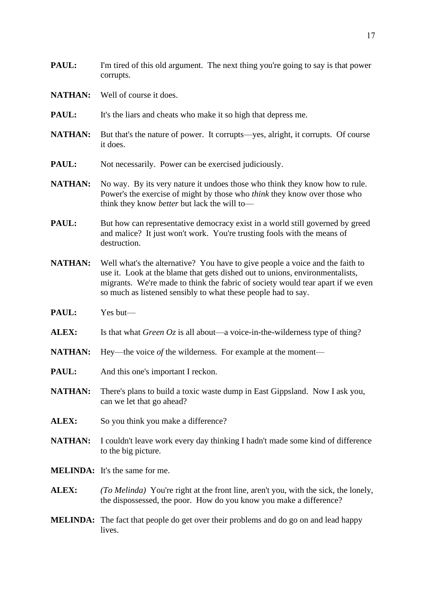- **PAUL:** I'm tired of this old argument. The next thing you're going to say is that power corrupts.
- **NATHAN:** Well of course it does.
- **PAUL:** It's the liars and cheats who make it so high that depress me.
- **NATHAN:** But that's the nature of power. It corrupts—yes, alright, it corrupts. Of course it does.
- **PAUL:** Not necessarily. Power can be exercised judiciously.
- **NATHAN:** No way. By its very nature it undoes those who think they know how to rule. Power's the exercise of might by those who *think* they know over those who think they know *better* but lack the will to—
- **PAUL:** But how can representative democracy exist in a world still governed by greed and malice? It just won't work. You're trusting fools with the means of destruction.
- **NATHAN:** Well what's the alternative? You have to give people a voice and the faith to use it. Look at the blame that gets dished out to unions, environmentalists, migrants. We're made to think the fabric of society would tear apart if we even so much as listened sensibly to what these people had to say.
- PAUL: Yes but—
- **ALEX:** Is that what *Green Oz* is all about—a voice-in-the-wilderness type of thing?
- **NATHAN:** Hey—the voice *of* the wilderness. For example at the moment—
- **PAUL:** And this one's important I reckon.
- **NATHAN:** There's plans to build a toxic waste dump in East Gippsland. Now I ask you, can we let that go ahead?
- ALEX: So you think you make a difference?
- **NATHAN:** I couldn't leave work every day thinking I hadn't made some kind of difference to the big picture.
- **MELINDA:** It's the same for me.
- **ALEX:** *(To Melinda)* You're right at the front line, aren't you, with the sick, the lonely, the dispossessed, the poor. How do you know you make a difference?
- **MELINDA:** The fact that people do get over their problems and do go on and lead happy lives.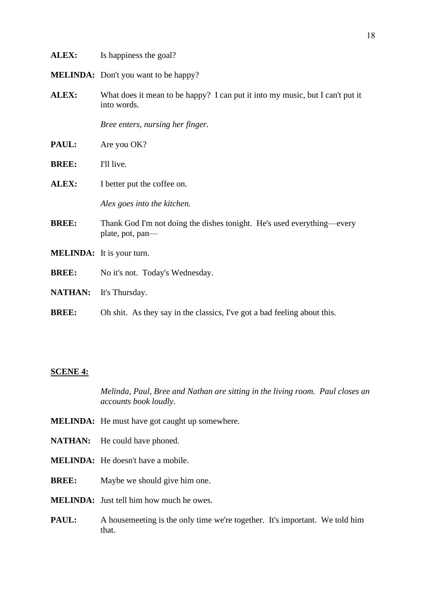| <b>ALEX:</b>   | Is happiness the goal?                                                                       |  |
|----------------|----------------------------------------------------------------------------------------------|--|
|                | <b>MELINDA:</b> Don't you want to be happy?                                                  |  |
| ALEX:          | What does it mean to be happy? I can put it into my music, but I can't put it<br>into words. |  |
|                | Bree enters, nursing her finger.                                                             |  |
| PAUL:          | Are you OK?                                                                                  |  |
| <b>BREE:</b>   | I'll live.                                                                                   |  |
| ALEX:          | I better put the coffee on.                                                                  |  |
|                | Alex goes into the kitchen.                                                                  |  |
| <b>BREE:</b>   | Thank God I'm not doing the dishes tonight. He's used everything—every<br>plate, pot, pan—   |  |
|                | <b>MELINDA:</b> It is your turn.                                                             |  |
| <b>BREE:</b>   | No it's not. Today's Wednesday.                                                              |  |
| <b>NATHAN:</b> | It's Thursday.                                                                               |  |
| <b>BREE:</b>   | Oh shit. As they say in the classics, I've got a bad feeling about this.                     |  |

## **SCENE 4:**

*Melinda, Paul, Bree and Nathan are sitting in the living room. Paul closes an accounts book loudly.*

- **MELINDA:** He must have got caught up somewhere.
- NATHAN: He could have phoned.
- **MELINDA:** He doesn't have a mobile.
- **BREE:** Maybe we should give him one.
- **MELINDA:** Just tell him how much he owes.
- **PAUL:** A housemeeting is the only time we're together. It's important. We told him that.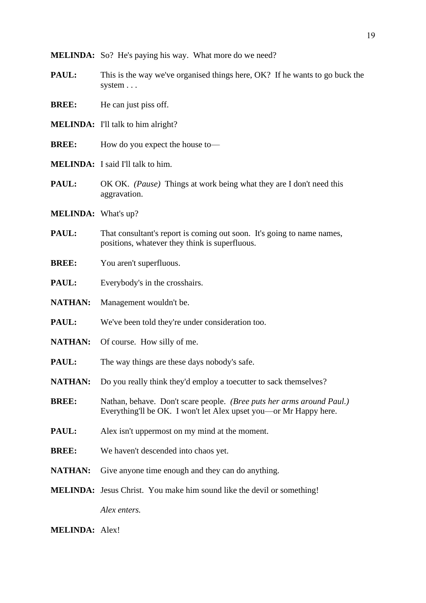**MELINDA:** So? He's paying his way. What more do we need?

**PAUL:** This is the way we've organised things here, OK? If he wants to go buck the system . . .

**BREE:** He can just piss off.

- **MELINDA:** I'll talk to him alright?
- **BREE:** How do you expect the house to—
- **MELINDA:** I said I'll talk to him.
- **PAUL:** OK OK. *(Pause)* Things at work being what they are I don't need this aggravation.
- **MELINDA:** What's up?
- **PAUL:** That consultant's report is coming out soon. It's going to name names, positions, whatever they think is superfluous.
- **BREE:** You aren't superfluous.
- **PAUL:** Everybody's in the crosshairs.
- **NATHAN:** Management wouldn't be.
- **PAUL:** We've been told they're under consideration too.
- **NATHAN:** Of course. How silly of me.
- **PAUL:** The way things are these days nobody's safe.
- **NATHAN:** Do you really think they'd employ a toecutter to sack themselves?
- **BREE:** Nathan, behave. Don't scare people. *(Bree puts her arms around Paul.)* Everything'll be OK. I won't let Alex upset you—or Mr Happy here.
- **PAUL:** Alex isn't uppermost on my mind at the moment.
- **BREE:** We haven't descended into chaos yet.
- **NATHAN:** Give anyone time enough and they can do anything.
- **MELINDA:** Jesus Christ. You make him sound like the devil or something!

*Alex enters.*

**MELINDA:** Alex!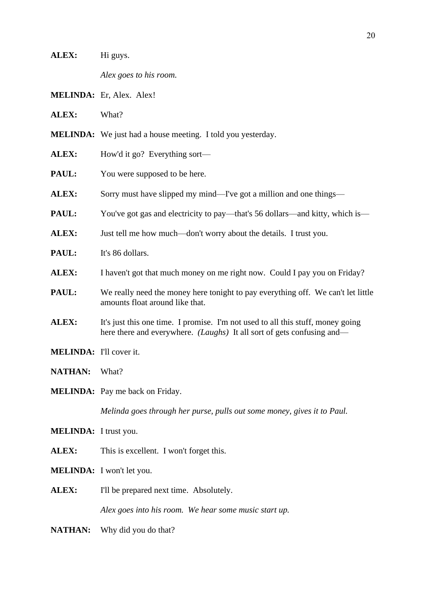|                                | Alex goes to his room.                                                                                                                                           |
|--------------------------------|------------------------------------------------------------------------------------------------------------------------------------------------------------------|
|                                | MELINDA: Er, Alex. Alex!                                                                                                                                         |
| ALEX:                          | What?                                                                                                                                                            |
|                                | <b>MELINDA:</b> We just had a house meeting. I told you yesterday.                                                                                               |
| ALEX:                          | How'd it go? Everything sort—                                                                                                                                    |
| PAUL:                          | You were supposed to be here.                                                                                                                                    |
| ALEX:                          | Sorry must have slipped my mind—I've got a million and one things—                                                                                               |
| PAUL:                          | You've got gas and electricity to pay—that's 56 dollars—and kitty, which is—                                                                                     |
| ALEX:                          | Just tell me how much—don't worry about the details. I trust you.                                                                                                |
| PAUL:                          | It's 86 dollars.                                                                                                                                                 |
| ALEX:                          | I haven't got that much money on me right now. Could I pay you on Friday?                                                                                        |
| PAUL:                          | We really need the money here tonight to pay everything off. We can't let little<br>amounts float around like that.                                              |
| ALEX:                          | It's just this one time. I promise. I'm not used to all this stuff, money going<br>here there and everywhere. <i>(Laughs)</i> It all sort of gets confusing and— |
| <b>MELINDA:</b> I'll cover it. |                                                                                                                                                                  |
| <b>NATHAN:</b>                 | What?                                                                                                                                                            |
|                                | <b>MELINDA:</b> Pay me back on Friday.                                                                                                                           |
|                                | Melinda goes through her purse, pulls out some money, gives it to Paul.                                                                                          |
| <b>MELINDA:</b> I trust you.   |                                                                                                                                                                  |
| ALEX:                          | This is excellent. I won't forget this.                                                                                                                          |
|                                | MELINDA: I won't let you.                                                                                                                                        |
| ALEX:                          | I'll be prepared next time. Absolutely.                                                                                                                          |
|                                | Alex goes into his room. We hear some music start up.                                                                                                            |
| <b>NATHAN:</b>                 | Why did you do that?                                                                                                                                             |
|                                |                                                                                                                                                                  |

ALEX: Hi guys.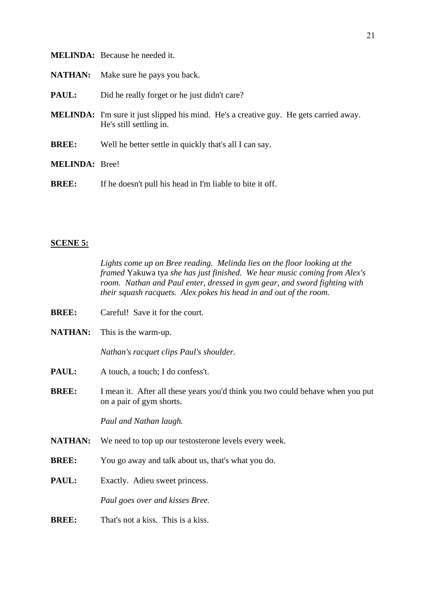|  | <b>MELINDA:</b> Because he needed it. |
|--|---------------------------------------|
|--|---------------------------------------|

- **NATHAN:** Make sure he pays you back.
- **PAUL:** Did he really forget or he just didn't care?
- **MELINDA:** I'm sure it just slipped his mind. He's a creative guy. He gets carried away. He's still settling in.
- **BREE:** Well he better settle in quickly that's all I can say.
- **MELINDA:** Bree!
- **BREE:** If he doesn't pull his head in I'm liable to bite it off.

#### **SCENE 5:**

*Lights come up on Bree reading. Melinda lies on the floor looking at the framed* Yakuwa tya *she has just finished. We hear music coming from Alex's room. Nathan and Paul enter, dressed in gym gear, and sword fighting with their squash racquets. Alex pokes his head in and out of the room.*

- **BREE:** Careful! Save it for the court.
- **NATHAN:** This is the warm-up.

*Nathan's racquet clips Paul's shoulder.*

- **PAUL:** A touch, a touch: I do confess't.
- **BREE:** I mean it. After all these years you'd think you two could behave when you put on a pair of gym shorts.

*Paul and Nathan laugh.*

- **NATHAN:** We need to top up our testosterone levels every week.
- **BREE:** You go away and talk about us, that's what you do.
- **PAUL:** Exactly. Adieu sweet princess.

*Paul goes over and kisses Bree.*

**BREE:** That's not a kiss. This is a kiss.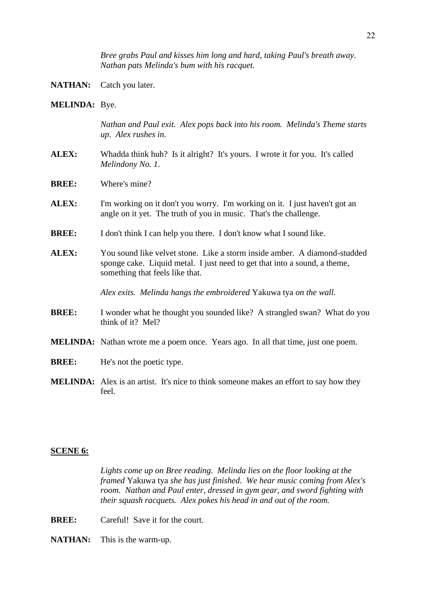*Bree grabs Paul and kisses him long and hard, taking Paul's breath away. Nathan pats Melinda's bum with his racquet.*

- **NATHAN:** Catch you later.
- **MELINDA:** Bye.

*Nathan and Paul exit. Alex pops back into his room. Melinda's Theme starts up. Alex rushes in.*

- **ALEX:** Whadda think huh? Is it alright? It's yours. I wrote it for you. It's called *Melindony No. 1*.
- **BREE:** Where's mine?
- **ALEX:** I'm working on it don't you worry. I'm working on it. I just haven't got an angle on it yet. The truth of you in music. That's the challenge.
- **BREE:** I don't think I can help you there. I don't know what I sound like.
- **ALEX:** You sound like velvet stone. Like a storm inside amber. A diamond-studded sponge cake. Liquid metal. I just need to get that into a sound, a theme, something that feels like that.

*Alex exits. Melinda hangs the embroidered* Yakuwa tya *on the wall.*

- **BREE:** I wonder what he thought you sounded like? A strangled swan? What do you think of it? Mel?
- **MELINDA:** Nathan wrote me a poem once. Years ago. In all that time, just one poem.
- **BREE:** He's not the poetic type.
- **MELINDA:** Alex is an artist. It's nice to think someone makes an effort to say how they  $f_{\rho\rho}$

#### **SCENE 6:**

*Lights come up on Bree reading. Melinda lies on the floor looking at the framed* Yakuwa tya *she has just finished. We hear music coming from Alex's room. Nathan and Paul enter, dressed in gym gear, and sword fighting with their squash racquets. Alex pokes his head in and out of the room.*

- **BREE:** Careful! Save it for the court.
- **NATHAN:** This is the warm-up.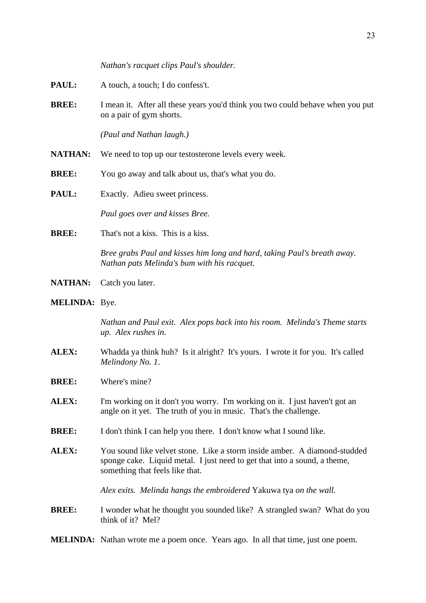*Nathan's racquet clips Paul's shoulder.*

- **PAUL:** A touch, a touch; I do confess't.
- **BREE:** I mean it. After all these years you'd think you two could behave when you put on a pair of gym shorts.

*(Paul and Nathan laugh.)*

- **NATHAN:** We need to top up our testosterone levels every week.
- **BREE:** You go away and talk about us, that's what you do.
- **PAUL:** Exactly. Adieu sweet princess.

*Paul goes over and kisses Bree.*

**BREE:** That's not a kiss. This is a kiss.

*Bree grabs Paul and kisses him long and hard, taking Paul's breath away. Nathan pats Melinda's bum with his racquet.*

- **NATHAN:** Catch you later.
- **MELINDA:** Bye.

*Nathan and Paul exit. Alex pops back into his room. Melinda's Theme starts up. Alex rushes in.*

- **ALEX:** Whadda ya think huh? Is it alright? It's yours. I wrote it for you. It's called *Melindony No. 1*.
- **BREE:** Where's mine?
- **ALEX:** I'm working on it don't you worry. I'm working on it. I just haven't got an angle on it yet. The truth of you in music. That's the challenge.
- **BREE:** I don't think I can help you there. I don't know what I sound like.
- **ALEX:** You sound like velvet stone. Like a storm inside amber. A diamond-studded sponge cake. Liquid metal. I just need to get that into a sound, a theme, something that feels like that.

*Alex exits. Melinda hangs the embroidered* Yakuwa tya *on the wall.*

**BREE:** I wonder what he thought you sounded like? A strangled swan? What do you think of it? Mel?

**MELINDA:** Nathan wrote me a poem once. Years ago. In all that time, just one poem.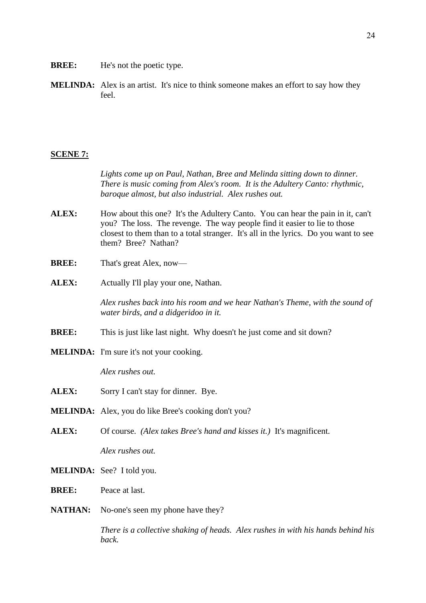- **BREE:** He's not the poetic type.
- **MELINDA:** Alex is an artist. It's nice to think someone makes an effort to say how they feel.

#### **SCENE 7:**

*Lights come up on Paul, Nathan, Bree and Melinda sitting down to dinner. There is music coming from Alex's room. It is the Adultery Canto: rhythmic, baroque almost, but also industrial. Alex rushes out.*

- **ALEX:** How about this one? It's the Adultery Canto. You can hear the pain in it, can't you? The loss. The revenge. The way people find it easier to lie to those closest to them than to a total stranger. It's all in the lyrics. Do you want to see them? Bree? Nathan?
- **BREE:** That's great Alex, now—
- **ALEX:** Actually I'll play your one, Nathan.

*Alex rushes back into his room and we hear Nathan's Theme, with the sound of water birds, and a didgeridoo in it.*

- **BREE:** This is just like last night. Why doesn't he just come and sit down?
- **MELINDA:** I'm sure it's not your cooking.

*Alex rushes out.*

- **ALEX:** Sorry I can't stay for dinner. Bye.
- **MELINDA:** Alex, you do like Bree's cooking don't you?
- **ALEX:** Of course. *(Alex takes Bree's hand and kisses it.)* It's magnificent. *Alex rushes out.*
- **MELINDA:** See? I told you.
- **BREE:** Peace at last.
- **NATHAN:** No-one's seen my phone have they?

*There is a collective shaking of heads. Alex rushes in with his hands behind his back.*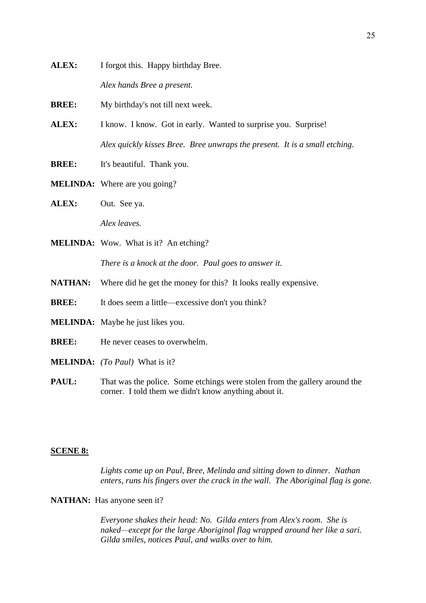**ALEX:** I forgot this. Happy birthday Bree.

*Alex hands Bree a present.*

**BREE:** My birthday's not till next week.

- ALEX: I know. I know. Got in early. Wanted to surprise you. Surprise! *Alex quickly kisses Bree. Bree unwraps the present. It is a small etching.*
- **BREE:** It's beautiful. Thank you.
- **MELINDA:** Where are you going?
- **ALEX:** Out. See ya.

*Alex leaves.*

**MELINDA:** Wow. What is it? An etching?

*There is a knock at the door. Paul goes to answer it.*

- **NATHAN:** Where did he get the money for this? It looks really expensive.
- **BREE:** It does seem a little—excessive don't you think?
- **MELINDA:** Maybe he just likes you.
- **BREE:** He never ceases to overwhelm.
- **MELINDA:** *(To Paul)* What is it?
- **PAUL:** That was the police. Some etchings were stolen from the gallery around the corner. I told them we didn't know anything about it.

#### **SCENE 8:**

*Lights come up on Paul, Bree, Melinda and sitting down to dinner. Nathan enters, runs his fingers over the crack in the wall. The Aboriginal flag is gone.*

# **NATHAN:** Has anyone seen it?

*Everyone shakes their head: No. Gilda enters from Alex's room. She is naked—except for the large Aboriginal flag wrapped around her like a sari. Gilda smiles, notices Paul, and walks over to him.*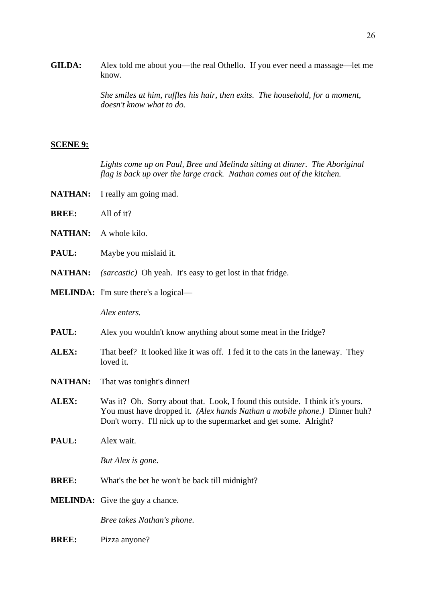**GILDA:** Alex told me about you—the real Othello. If you ever need a massage—let me know.

> *She smiles at him, ruffles his hair, then exits. The household, for a moment, doesn't know what to do.*

## **SCENE 9:**

*Lights come up on Paul, Bree and Melinda sitting at dinner. The Aboriginal flag is back up over the large crack. Nathan comes out of the kitchen.*

- NATHAN: I really am going mad.
- **BREE:** All of it?
- **NATHAN:** A whole kilo.
- **PAUL:** Maybe you mislaid it.
- **NATHAN:** *(sarcastic)* Oh yeah. It's easy to get lost in that fridge.
- **MELINDA:** I'm sure there's a logical—

*Alex enters.*

- **PAUL:** Alex you wouldn't know anything about some meat in the fridge?
- **ALEX:** That beef? It looked like it was off. I fed it to the cats in the laneway. They loved it.
- **NATHAN:** That was tonight's dinner!
- **ALEX:** Was it? Oh. Sorry about that. Look, I found this outside. I think it's yours. You must have dropped it. *(Alex hands Nathan a mobile phone.)* Dinner huh? Don't worry. I'll nick up to the supermarket and get some. Alright?
- **PAUL:** Alex wait.

*But Alex is gone.*

- **BREE:** What's the bet he won't be back till midnight?
- **MELINDA:** Give the guy a chance.

*Bree takes Nathan's phone.*

**BREE:** Pizza anyone?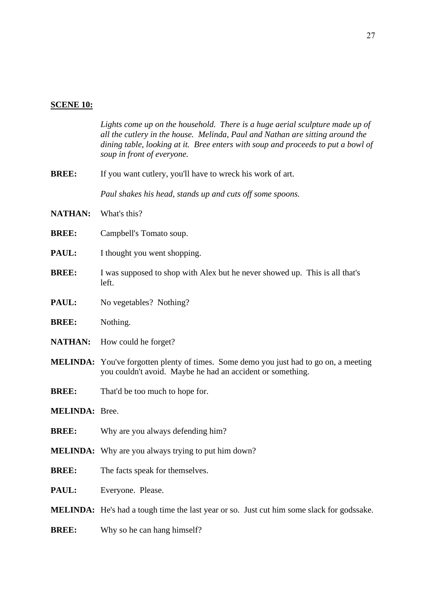# **SCENE 10:**

|                       | Lights come up on the household. There is a huge aerial sculpture made up of<br>all the cutlery in the house. Melinda, Paul and Nathan are sitting around the<br>dining table, looking at it. Bree enters with soup and proceeds to put a bowl of<br>soup in front of everyone. |
|-----------------------|---------------------------------------------------------------------------------------------------------------------------------------------------------------------------------------------------------------------------------------------------------------------------------|
| <b>BREE:</b>          | If you want cutlery, you'll have to wreck his work of art.                                                                                                                                                                                                                      |
|                       | Paul shakes his head, stands up and cuts off some spoons.                                                                                                                                                                                                                       |
| <b>NATHAN:</b>        | What's this?                                                                                                                                                                                                                                                                    |
| <b>BREE:</b>          | Campbell's Tomato soup.                                                                                                                                                                                                                                                         |
| <b>PAUL:</b>          | I thought you went shopping.                                                                                                                                                                                                                                                    |
| <b>BREE:</b>          | I was supposed to shop with Alex but he never showed up. This is all that's<br>left.                                                                                                                                                                                            |
| <b>PAUL:</b>          | No vegetables? Nothing?                                                                                                                                                                                                                                                         |
| <b>BREE:</b>          | Nothing.                                                                                                                                                                                                                                                                        |
| <b>NATHAN:</b>        | How could he forget?                                                                                                                                                                                                                                                            |
|                       | <b>MELINDA:</b> You've forgotten plenty of times. Some demo you just had to go on, a meeting<br>you couldn't avoid. Maybe he had an accident or something.                                                                                                                      |
| <b>BREE:</b>          | That'd be too much to hope for.                                                                                                                                                                                                                                                 |
| <b>MELINDA: Bree.</b> |                                                                                                                                                                                                                                                                                 |
| <b>BREE:</b>          | Why are you always defending him?                                                                                                                                                                                                                                               |
|                       | <b>MELINDA:</b> Why are you always trying to put him down?                                                                                                                                                                                                                      |
| <b>BREE:</b>          | The facts speak for themselves.                                                                                                                                                                                                                                                 |
| <b>PAUL:</b>          | Everyone. Please.                                                                                                                                                                                                                                                               |
|                       | MELINDA: He's had a tough time the last year or so. Just cut him some slack for godssake.                                                                                                                                                                                       |
| <b>BREE:</b>          | Why so he can hang himself?                                                                                                                                                                                                                                                     |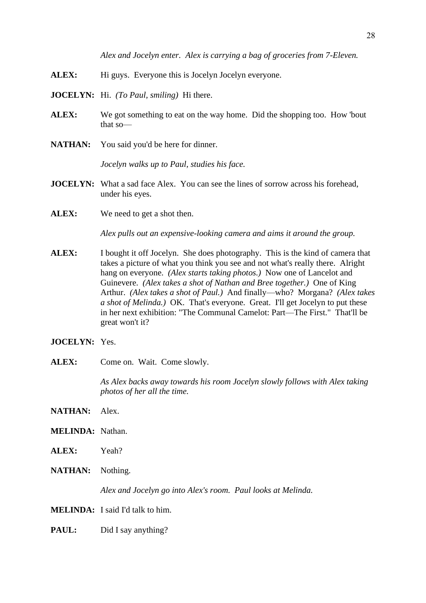*Alex and Jocelyn enter. Alex is carrying a bag of groceries from 7-Eleven.*

- ALEX: Hi guys. Everyone this is Jocelyn Jocelyn everyone.
- **JOCELYN:** Hi. *(To Paul, smiling)* Hi there.
- **ALEX:** We got something to eat on the way home. Did the shopping too. How 'bout that so—
- **NATHAN:** You said you'd be here for dinner.

*Jocelyn walks up to Paul, studies his face.*

- **JOCELYN:** What a sad face Alex. You can see the lines of sorrow across his forehead, under his eyes.
- ALEX: We need to get a shot then.

*Alex pulls out an expensive-looking camera and aims it around the group.*

- **ALEX:** I bought it off Jocelyn. She does photography. This is the kind of camera that takes a picture of what you think you see and not what's really there. Alright hang on everyone. *(Alex starts taking photos.)* Now one of Lancelot and Guinevere. *(Alex takes a shot of Nathan and Bree together.)* One of King Arthur. *(Alex takes a shot of Paul.)* And finally—who? Morgana? *(Alex takes a shot of Melinda.)* OK. That's everyone. Great. I'll get Jocelyn to put these in her next exhibition: "The Communal Camelot: Part—The First." That'll be great won't it?
- **JOCELYN:** Yes.
- ALEX: Come on. Wait. Come slowly.

*As Alex backs away towards his room Jocelyn slowly follows with Alex taking photos of her all the time.*

- **NATHAN:** Alex.
- **MELINDA:** Nathan.
- **ALEX:** Yeah?
- **NATHAN:** Nothing.

*Alex and Jocelyn go into Alex's room. Paul looks at Melinda.*

**MELINDA:** I said I'd talk to him.

**PAUL:** Did I say anything?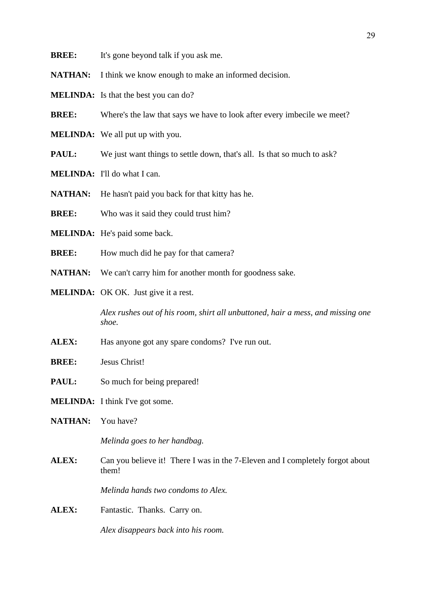- **BREE:** It's gone beyond talk if you ask me.
- **NATHAN:** I think we know enough to make an informed decision.
- **MELINDA:** Is that the best you can do?
- **BREE:** Where's the law that says we have to look after every imbecile we meet?
- **MELINDA:** We all put up with you.
- **PAUL:** We just want things to settle down, that's all. Is that so much to ask?
- **MELINDA:** I'll do what I can.
- **NATHAN:** He hasn't paid you back for that kitty has he.
- **BREE:** Who was it said they could trust him?
- **MELINDA:** He's paid some back.
- **BREE:** How much did he pay for that camera?
- **NATHAN:** We can't carry him for another month for goodness sake.
- **MELINDA:** OK OK. Just give it a rest.

*Alex rushes out of his room, shirt all unbuttoned, hair a mess, and missing one shoe.*

- **ALEX:** Has anyone got any spare condoms? I've run out.
- **BREE:** Jesus Christ!
- **PAUL:** So much for being prepared!
- **MELINDA:** I think I've got some.
- **NATHAN:** You have?

*Melinda goes to her handbag.*

ALEX: Can you believe it! There I was in the 7-Eleven and I completely forgot about them!

*Melinda hands two condoms to Alex.*

**ALEX:** Fantastic. Thanks. Carry on.

*Alex disappears back into his room.*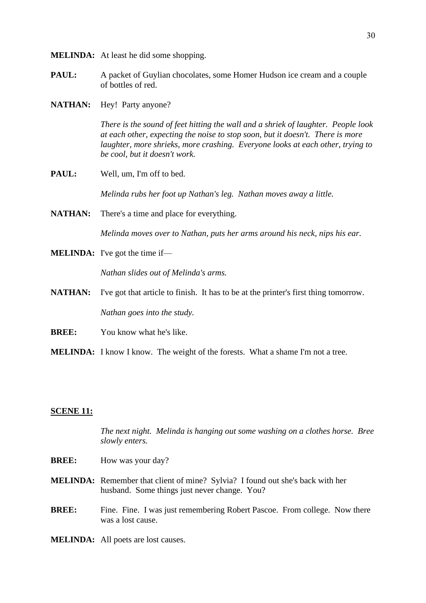- **MELINDA:** At least he did some shopping.
- **PAUL:** A packet of Guylian chocolates, some Homer Hudson ice cream and a couple of bottles of red.
- **NATHAN:** Hey! Party anyone?

*There is the sound of feet hitting the wall and a shriek of laughter. People look at each other, expecting the noise to stop soon, but it doesn't. There is more laughter, more shrieks, more crashing. Everyone looks at each other, trying to be cool, but it doesn't work.*

**PAUL:** Well, um, I'm off to bed.

*Melinda rubs her foot up Nathan's leg. Nathan moves away a little.*

**NATHAN:** There's a time and place for everything.

*Melinda moves over to Nathan, puts her arms around his neck, nips his ear.*

**MELINDA:** I've got the time if—

*Nathan slides out of Melinda's arms.*

**NATHAN:** I've got that article to finish. It has to be at the printer's first thing tomorrow.

*Nathan goes into the study.*

**BREE:** You know what he's like.

**MELINDA:** I know I know. The weight of the forests. What a shame I'm not a tree.

## **SCENE 11:**

*The next night. Melinda is hanging out some washing on a clothes horse. Bree slowly enters.*

- **BREE:** How was your day?
- **MELINDA:** Remember that client of mine? Sylvia? I found out she's back with her husband. Some things just never change. You?
- **BREE:** Fine. Fine. I was just remembering Robert Pascoe. From college. Now there was a lost cause.
- **MELINDA:** All poets are lost causes.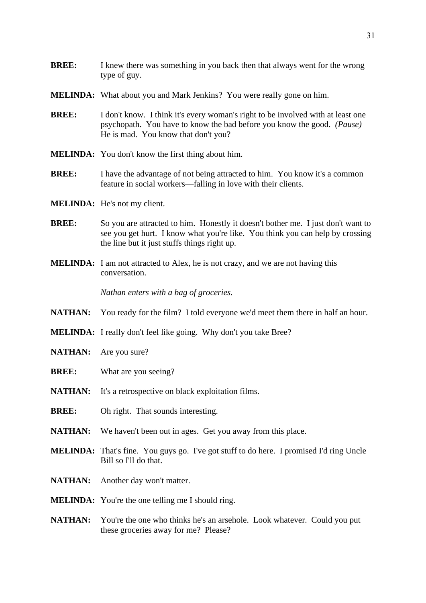- **MELINDA:** What about you and Mark Jenkins? You were really gone on him.
- **BREE:** I don't know. I think it's every woman's right to be involved with at least one psychopath. You have to know the bad before you know the good. *(Pause)* He is mad. You know that don't you?
- **MELINDA:** You don't know the first thing about him.
- **BREE:** I have the advantage of not being attracted to him. You know it's a common feature in social workers—falling in love with their clients.
- **MELINDA:** He's not my client.
- **BREE:** So you are attracted to him. Honestly it doesn't bother me. I just don't want to see you get hurt. I know what you're like. You think you can help by crossing the line but it just stuffs things right up.
- **MELINDA:** I am not attracted to Alex, he is not crazy, and we are not having this conversation.

*Nathan enters with a bag of groceries.*

- **NATHAN:** You ready for the film? I told everyone we'd meet them there in half an hour.
- **MELINDA:** I really don't feel like going. Why don't you take Bree?
- **NATHAN:** Are you sure?
- **BREE:** What are you seeing?
- **NATHAN:** It's a retrospective on black exploitation films.
- **BREE:** Oh right. That sounds interesting.
- **NATHAN:** We haven't been out in ages. Get you away from this place.
- **MELINDA:** That's fine. You guys go. I've got stuff to do here. I promised I'd ring Uncle Bill so I'll do that.
- **NATHAN:** Another day won't matter.
- **MELINDA:** You're the one telling me I should ring.
- **NATHAN:** You're the one who thinks he's an arsehole. Look whatever. Could you put these groceries away for me? Please?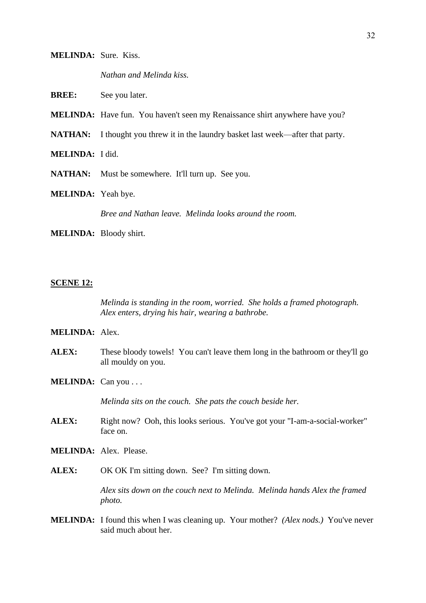## **MELINDA:** Sure. Kiss.

*Nathan and Melinda kiss.*

**BREE:** See you later.

**MELINDA:** Have fun. You haven't seen my Renaissance shirt anywhere have you?

**NATHAN:** I thought you threw it in the laundry basket last week—after that party.

**MELINDA:** I did.

NATHAN: Must be somewhere. It'll turn up. See you.

**MELINDA:** Yeah bye.

*Bree and Nathan leave. Melinda looks around the room.*

**MELINDA:** Bloody shirt.

#### **SCENE 12:**

*Melinda is standing in the room, worried. She holds a framed photograph. Alex enters, drying his hair, wearing a bathrobe.*

#### **MELINDA:** Alex.

- **ALEX:** These bloody towels! You can't leave them long in the bathroom or they'll go all mouldy on you.
- **MELINDA:** Can you . . .

*Melinda sits on the couch. She pats the couch beside her.*

- **ALEX:** Right now? Ooh, this looks serious. You've got your "I-am-a-social-worker" face on.
- **MELINDA:** Alex. Please.
- **ALEX:** OK OK I'm sitting down. See? I'm sitting down.

*Alex sits down on the couch next to Melinda. Melinda hands Alex the framed photo.*

**MELINDA:** I found this when I was cleaning up. Your mother? *(Alex nods.)* You've never said much about her.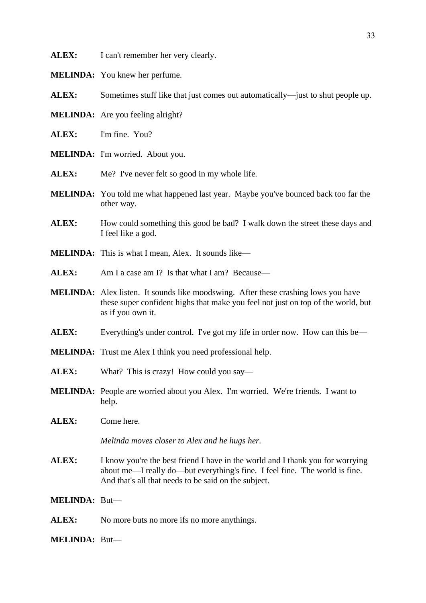ALEX: I can't remember her very clearly.

**MELINDA:** You knew her perfume.

**ALEX:** Sometimes stuff like that just comes out automatically—just to shut people up.

- **MELINDA:** Are you feeling alright?
- **ALEX:** I'm fine. You?
- **MELINDA:** I'm worried. About you.
- ALEX: Me? I've never felt so good in my whole life.
- **MELINDA:** You told me what happened last year. Maybe you've bounced back too far the other way.
- **ALEX:** How could something this good be bad? I walk down the street these days and I feel like a god.
- **MELINDA:** This is what I mean, Alex. It sounds like—
- **ALEX:** Am I a case am I? Is that what I am? Because—
- **MELINDA:** Alex listen. It sounds like moodswing. After these crashing lows you have these super confident highs that make you feel not just on top of the world, but as if you own it.
- **ALEX:** Everything's under control. I've got my life in order now. How can this be—
- **MELINDA:** Trust me Alex I think you need professional help.
- **ALEX:** What? This is crazy! How could you say—
- **MELINDA:** People are worried about you Alex. I'm worried. We're friends. I want to help.
- **ALEX:** Come here.

*Melinda moves closer to Alex and he hugs her.*

ALEX: I know you're the best friend I have in the world and I thank you for worrying about me—I really do—but everything's fine. I feel fine. The world is fine. And that's all that needs to be said on the subject.

**MELINDA:** But—

ALEX: No more buts no more ifs no more anythings.

**MELINDA:** But—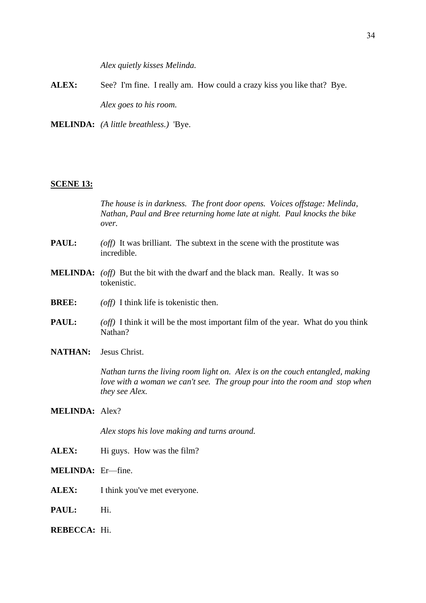*Alex quietly kisses Melinda.*

- **ALEX:** See? I'm fine. I really am. How could a crazy kiss you like that? Bye. *Alex goes to his room.*
- **MELINDA:** *(A little breathless.)* 'Bye.

#### **SCENE 13:**

*The house is in darkness. The front door opens. Voices offstage: Melinda, Nathan, Paul and Bree returning home late at night. Paul knocks the bike over.*

- **PAUL:** *(off)* It was brilliant. The subtext in the scene with the prostitute was incredible.
- **MELINDA:** *(off)* But the bit with the dwarf and the black man. Really. It was so tokenistic.
- **BREE:** *(off)* I think life is tokenistic then.
- **PAUL:** *(off)* I think it will be the most important film of the year. What do you think Nathan?
- **NATHAN:** Jesus Christ.

*Nathan turns the living room light on. Alex is on the couch entangled, making love with a woman we can't see. The group pour into the room and stop when they see Alex.*

## **MELINDA:** Alex?

*Alex stops his love making and turns around.*

ALEX: Hi guys. How was the film?

**MELINDA:** Er—fine.

- **ALEX:** I think you've met everyone.
- PAUL: Hi.

# **REBECCA:** Hi.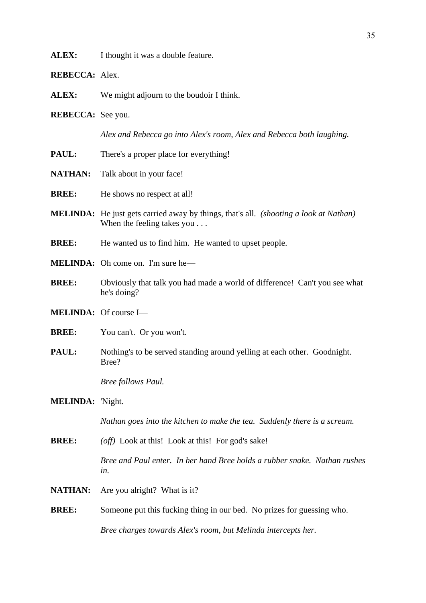ALEX: I thought it was a double feature.

**REBECCA:** Alex.

**ALEX:** We might adjourn to the boudoir I think.

**REBECCA:** See you.

*Alex and Rebecca go into Alex's room, Alex and Rebecca both laughing.*

- **PAUL:** There's a proper place for everything!
- **NATHAN:** Talk about in your face!
- **BREE:** He shows no respect at all!
- **MELINDA:** He just gets carried away by things, that's all. *(shooting a look at Nathan)* When the feeling takes you . . .
- **BREE:** He wanted us to find him. He wanted to upset people.
- **MELINDA:** Oh come on. I'm sure he—
- **BREE:** Obviously that talk you had made a world of difference! Can't you see what he's doing?
- **MELINDA:** Of course I—
- **BREE:** You can't. Or you won't.
- **PAUL:** Nothing's to be served standing around yelling at each other. Goodnight. Bree?

*Bree follows Paul.*

#### **MELINDA:** 'Night.

*Nathan goes into the kitchen to make the tea. Suddenly there is a scream.*

**BREE:** *(off)* Look at this! Look at this! For god's sake!

*Bree and Paul enter. In her hand Bree holds a rubber snake. Nathan rushes in.*

- **NATHAN:** Are you alright? What is it?
- **BREE:** Someone put this fucking thing in our bed. No prizes for guessing who.

*Bree charges towards Alex's room, but Melinda intercepts her.*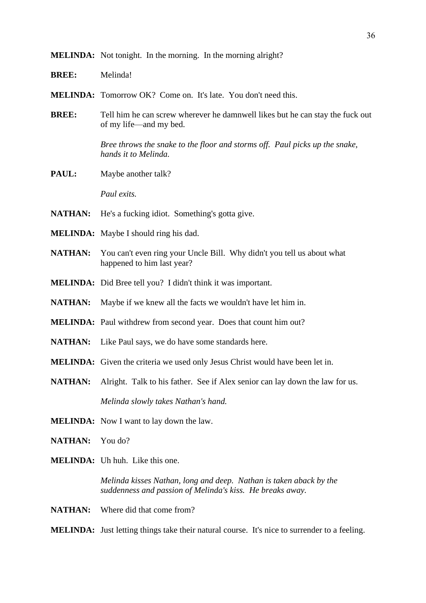- **BREE:** Melinda!
- **MELINDA:** Tomorrow OK? Come on. It's late. You don't need this.
- **BREE:** Tell him he can screw wherever he damnwell likes but he can stay the fuck out of my life—and my bed.

*Bree throws the snake to the floor and storms off. Paul picks up the snake, hands it to Melinda.*

**PAUL:** Maybe another talk?

*Paul exits.*

- **NATHAN:** He's a fucking idiot. Something's gotta give.
- **MELINDA:** Maybe I should ring his dad.
- **NATHAN:** You can't even ring your Uncle Bill. Why didn't you tell us about what happened to him last year?
- **MELINDA:** Did Bree tell you? I didn't think it was important.
- **NATHAN:** Maybe if we knew all the facts we wouldn't have let him in.
- **MELINDA:** Paul withdrew from second year. Does that count him out?
- **NATHAN:** Like Paul says, we do have some standards here.
- **MELINDA:** Given the criteria we used only Jesus Christ would have been let in.
- **NATHAN:** Alright. Talk to his father. See if Alex senior can lay down the law for us. *Melinda slowly takes Nathan's hand.*
- **MELINDA:** Now I want to lay down the law.
- **NATHAN:** You do?
- **MELINDA:** Uh huh. Like this one.

*Melinda kisses Nathan, long and deep. Nathan is taken aback by the suddenness and passion of Melinda's kiss. He breaks away.*

**NATHAN:** Where did that come from?

**MELINDA:** Just letting things take their natural course. It's nice to surrender to a feeling.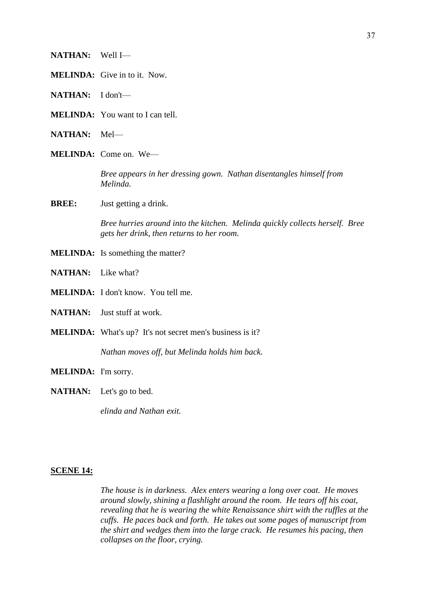- **NATHAN:** Well I—
- **MELINDA:** Give in to it. Now.
- **NATHAN:** I don't—
- **MELINDA:** You want to I can tell.
- **NATHAN:** Mel—
- **MELINDA:** Come on. We—

*Bree appears in her dressing gown. Nathan disentangles himself from Melinda.*

**BREE:** Just getting a drink.

*Bree hurries around into the kitchen. Melinda quickly collects herself. Bree gets her drink, then returns to her room.*

- **MELINDA:** Is something the matter?
- **NATHAN:** Like what?
- **MELINDA:** I don't know. You tell me.
- **NATHAN:** Just stuff at work.
- **MELINDA:** What's up? It's not secret men's business is it?

*Nathan moves off, but Melinda holds him back.*

- **MELINDA:** I'm sorry.
- **NATHAN:** Let's go to bed.

*elinda and Nathan exit.*

#### **SCENE 14:**

*The house is in darkness. Alex enters wearing a long over coat. He moves around slowly, shining a flashlight around the room. He tears off his coat, revealing that he is wearing the white Renaissance shirt with the ruffles at the cuffs. He paces back and forth. He takes out some pages of manuscript from the shirt and wedges them into the large crack. He resumes his pacing, then collapses on the floor, crying.*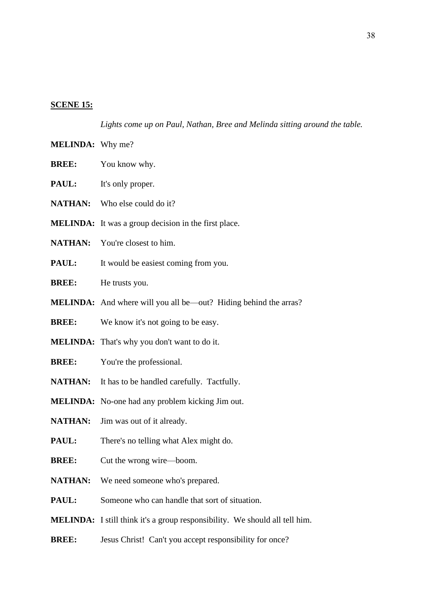#### **SCENE 15:**

*Lights come up on Paul, Nathan, Bree and Melinda sitting around the table.*

- **MELINDA:** Why me?
- **BREE:** You know why.
- **PAUL:** It's only proper.
- **NATHAN:** Who else could do it?
- **MELINDA:** It was a group decision in the first place.
- NATHAN: You're closest to him.
- **PAUL:** It would be easiest coming from you.
- **BREE:** He trusts you.
- **MELINDA:** And where will you all be—out? Hiding behind the arras?
- **BREE:** We know it's not going to be easy.
- **MELINDA:** That's why you don't want to do it.
- **BREE:** You're the professional.
- NATHAN: It has to be handled carefully. Tactfully.
- **MELINDA:** No-one had any problem kicking Jim out.
- **NATHAN:** Jim was out of it already.
- **PAUL:** There's no telling what Alex might do.
- **BREE:** Cut the wrong wire—boom.
- **NATHAN:** We need someone who's prepared.
- **PAUL:** Someone who can handle that sort of situation.
- **MELINDA:** I still think it's a group responsibility. We should all tell him.
- **BREE:** Jesus Christ! Can't you accept responsibility for once?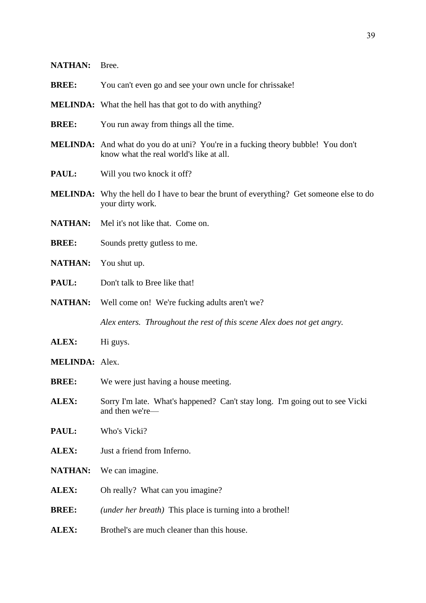| <b>NATHAN:</b>        | Bree.                                                                                                                              |
|-----------------------|------------------------------------------------------------------------------------------------------------------------------------|
| <b>BREE:</b>          | You can't even go and see your own uncle for chrissake!                                                                            |
|                       | <b>MELINDA:</b> What the hell has that got to do with anything?                                                                    |
| <b>BREE:</b>          | You run away from things all the time.                                                                                             |
|                       | <b>MELINDA:</b> And what do you do at uni? You're in a fucking theory bubble! You don't<br>know what the real world's like at all. |
| PAUL:                 | Will you two knock it off?                                                                                                         |
|                       | <b>MELINDA:</b> Why the hell do I have to bear the brunt of everything? Get someone else to do<br>your dirty work.                 |
| <b>NATHAN:</b>        | Mel it's not like that. Come on.                                                                                                   |
| <b>BREE:</b>          | Sounds pretty gutless to me.                                                                                                       |
| <b>NATHAN:</b>        | You shut up.                                                                                                                       |
| PAUL:                 | Don't talk to Bree like that!                                                                                                      |
| <b>NATHAN:</b>        | Well come on! We're fucking adults aren't we?                                                                                      |
|                       | Alex enters. Throughout the rest of this scene Alex does not get angry.                                                            |
| <b>ALEX:</b>          | Hi guys.                                                                                                                           |
| <b>MELINDA: Alex.</b> |                                                                                                                                    |
| <b>BREE:</b>          | We were just having a house meeting.                                                                                               |
| ALEX:                 | Sorry I'm late. What's happened? Can't stay long. I'm going out to see Vicki<br>and then we're-                                    |
| PAUL:                 | Who's Vicki?                                                                                                                       |
| ALEX:                 | Just a friend from Inferno.                                                                                                        |
| <b>NATHAN:</b>        | We can imagine.                                                                                                                    |
| ALEX:                 | Oh really? What can you imagine?                                                                                                   |
| <b>BREE:</b>          | ( <i>under her breath</i> ) This place is turning into a brothel!                                                                  |
| ALEX:                 | Brothel's are much cleaner than this house.                                                                                        |
|                       |                                                                                                                                    |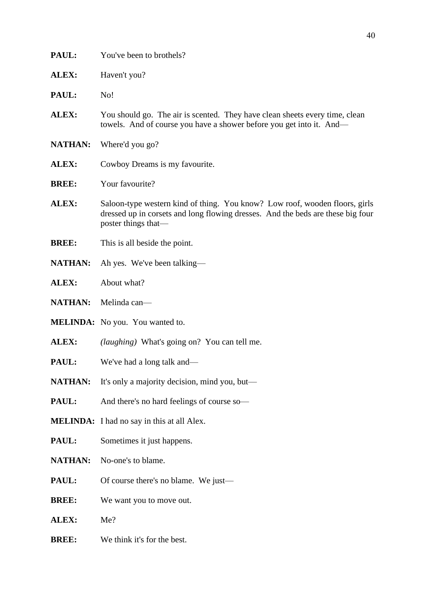| PAUL:          | You've been to brothels?                                                                                                                                                              |
|----------------|---------------------------------------------------------------------------------------------------------------------------------------------------------------------------------------|
| ALEX:          | Haven't you?                                                                                                                                                                          |
| PAUL:          | No!                                                                                                                                                                                   |
| ALEX:          | You should go. The air is scented. They have clean sheets every time, clean<br>towels. And of course you have a shower before you get into it. And—                                   |
| <b>NATHAN:</b> | Where'd you go?                                                                                                                                                                       |
| ALEX:          | Cowboy Dreams is my favourite.                                                                                                                                                        |
| <b>BREE:</b>   | Your favourite?                                                                                                                                                                       |
| ALEX:          | Saloon-type western kind of thing. You know? Low roof, wooden floors, girls<br>dressed up in corsets and long flowing dresses. And the beds are these big four<br>poster things that— |
| <b>BREE:</b>   | This is all beside the point.                                                                                                                                                         |
| <b>NATHAN:</b> | Ah yes. We've been talking—                                                                                                                                                           |
| ALEX:          | About what?                                                                                                                                                                           |
| <b>NATHAN:</b> | Melinda can-                                                                                                                                                                          |
|                | <b>MELINDA:</b> No you. You wanted to.                                                                                                                                                |
| ALEX:          | <i>(laughing)</i> What's going on? You can tell me.                                                                                                                                   |
| PAUL:          | We've had a long talk and—                                                                                                                                                            |
| <b>NATHAN:</b> | It's only a majority decision, mind you, but—                                                                                                                                         |
| PAUL:          | And there's no hard feelings of course so-                                                                                                                                            |
|                | <b>MELINDA:</b> I had no say in this at all Alex.                                                                                                                                     |
| PAUL:          | Sometimes it just happens.                                                                                                                                                            |
| <b>NATHAN:</b> | No-one's to blame.                                                                                                                                                                    |
| PAUL:          | Of course there's no blame. We just—                                                                                                                                                  |
| <b>BREE:</b>   | We want you to move out.                                                                                                                                                              |
| ALEX:          | Me?                                                                                                                                                                                   |
| <b>BREE:</b>   | We think it's for the best.                                                                                                                                                           |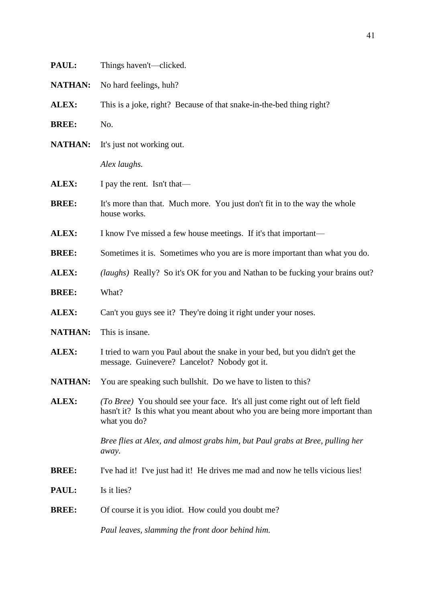| PAUL:          | Things haven't—clicked.                                                                                                                                                         |
|----------------|---------------------------------------------------------------------------------------------------------------------------------------------------------------------------------|
| <b>NATHAN:</b> | No hard feelings, huh?                                                                                                                                                          |
| ALEX:          | This is a joke, right? Because of that snake-in-the-bed thing right?                                                                                                            |
| <b>BREE:</b>   | No.                                                                                                                                                                             |
| <b>NATHAN:</b> | It's just not working out.                                                                                                                                                      |
|                | Alex laughs.                                                                                                                                                                    |
| ALEX:          | I pay the rent. Isn't that—                                                                                                                                                     |
| <b>BREE:</b>   | It's more than that. Much more. You just don't fit in to the way the whole<br>house works.                                                                                      |
| ALEX:          | I know I've missed a few house meetings. If it's that important-                                                                                                                |
| <b>BREE:</b>   | Sometimes it is. Sometimes who you are is more important than what you do.                                                                                                      |
| ALEX:          | (laughs) Really? So it's OK for you and Nathan to be fucking your brains out?                                                                                                   |
| <b>BREE:</b>   | What?                                                                                                                                                                           |
| ALEX:          | Can't you guys see it? They're doing it right under your noses.                                                                                                                 |
| <b>NATHAN:</b> | This is insane.                                                                                                                                                                 |
| ALEX:          | I tried to warn you Paul about the snake in your bed, but you didn't get the<br>message. Guinevere? Lancelot? Nobody got it.                                                    |
|                | <b>NATHAN:</b> You are speaking such bullshit. Do we have to listen to this?                                                                                                    |
| ALEX:          | (To Bree) You should see your face. It's all just come right out of left field<br>hasn't it? Is this what you meant about who you are being more important than<br>what you do? |
|                | Bree flies at Alex, and almost grabs him, but Paul grabs at Bree, pulling her<br>away.                                                                                          |
| <b>BREE:</b>   | I've had it! I've just had it! He drives me mad and now he tells vicious lies!                                                                                                  |
| PAUL:          | Is it lies?                                                                                                                                                                     |
| <b>BREE:</b>   | Of course it is you idiot. How could you doubt me?                                                                                                                              |
|                | Paul leaves, slamming the front door behind him.                                                                                                                                |